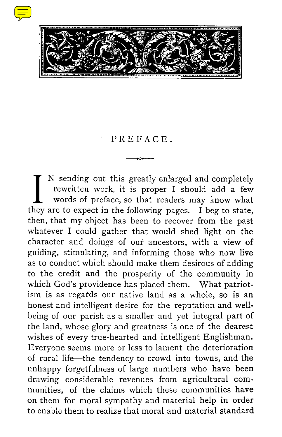



## PREFACE .

rewritten work, it is proper I should add a few words of preface, so that readers may know what they are to expect in the following pages. I beg to state, N sending out this greatly enlarged and completely rewritten work, it is proper I should add a few words of preface, so that readers may know what then, that my object has been to recover from the past whatever I could gather that would shed light on the character and doings of our ancestors, with a view of guiding, stimulating, and informing those who now live as to conduct which should make them desirous of adding to the credit and the prosperity of the community in which God's providence has placed them. What patriotism is as regards our native land as a whole, so is an honest and intelligent desire for the reputation and wellbeing of our parish as a smaller and yet integral part of the land, whose glory and greatness is one of the dearest wishes of every true-hearted and intelligent Englishman. Everyone seems more or less to lament the deterioration of rural life—the tendency to crowd into towns, and the unhappy forgetfulness of large numbers who have been drawing considerable revenues from agricultural communities, of the claims which these communities have on them for moral sympathy and material help in order to enable them to realize that moral and material standard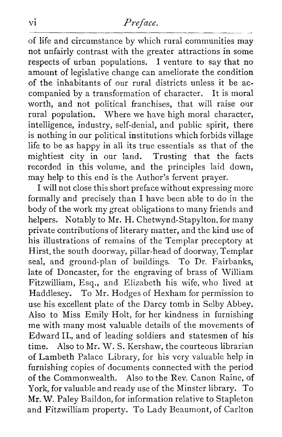## *vi Preface.*

of life and circumstance by which rural communities may not unfairly contrast with the greater attractions in some respects of urban populations. I venture to say that no amount of legislative change can ameliorate the condition of the inhabitants of our rural districts unless it be accompanied by a transformation of character. It is moral worth, and not political franchises, that will raise our rural population. Where we have high moral character, intelligence, industry, self-denial, and public spirit, there is nothing in our political institutions which forbids village life to be as happy in all its true essentials as that of the mightiest city in our land. Trusting that the facts recorded in this volume, and the principles laid down, may help to this end is the Author's fervent prayer.

I will not close this short preface without expressing more formally and precisely than I have been able to do in the body of the work my great obligations to many friends and helpers. Notably to Mr. H. Chetwynd-Stapylton, for many private contributions of literary matter, and the kind use of his illustrations of remains of the Templar preceptory at Hirst, the south doorway, pillar-head of doorway, Templar seal, and ground-plan of buildings. To Dr. Fairbanks, late of Doncaster, for the engraving of brass of William Fitzwilliam, Esq., and Elizabeth his wife, who lived at Haddlesey. To Mr. Hodges of Hexham for permission to use his excellent plate of the Darcy tomb in Selby Abbey. Also to Miss Emily Holt, for her kindness in furnishing me with many most valuable details of the movements of Edward II., and of leading soldiers and statesmen of his time. Also to Mr. W. S. Kershaw, the courteous librarian of Lambeth Palace Library, for his very valuable help in furnishing copies of documents connected with the period of the Commonwealth. Also to the Rev. Canon Raine, of York, for valuable and ready use of the Minster library. To Mr. W. Paley Baildon, for information relative to Stapleton and Fitzwilliam property. To Lady Beaumont, of Carlton